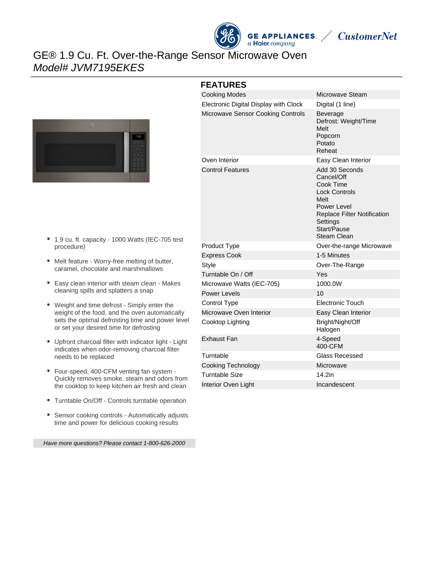

**CustomerNet** 

# GE® 1.9 Cu. Ft. Over-the-Range Sensor Microwave Oven Model# JVM7195EKES



#### **FEATURES**

| <b>Cooking Modes</b>                     | Microwave Steam                                                                                                                                                                 |
|------------------------------------------|---------------------------------------------------------------------------------------------------------------------------------------------------------------------------------|
| Electronic Digital Display with Clock    | Digital (1 line)                                                                                                                                                                |
| <b>Microwave Sensor Cooking Controls</b> | Beverage<br>Defrost: Weight/Time<br>Melt<br>Popcorn<br>Potato<br>Reheat                                                                                                         |
| Oven Interior                            | Easy Clean Interior                                                                                                                                                             |
| <b>Control Features</b>                  | Add 30 Seconds<br>Cancel/Off<br>Cook Time<br><b>Lock Controls</b><br>Melt<br>Power Level<br><b>Replace Filter Notification</b><br>Settings<br>Start/Pause<br><b>Steam Clean</b> |
| Product Type                             | Over-the-range Microwave                                                                                                                                                        |
| <b>Express Cook</b>                      | 1-5 Minutes                                                                                                                                                                     |
| <b>Style</b>                             | Over-The-Range                                                                                                                                                                  |
| Turntable On / Off                       | Yes                                                                                                                                                                             |
| Microwave Watts (IEC-705)                | 1000.0W                                                                                                                                                                         |
| <b>Power Levels</b>                      | 10                                                                                                                                                                              |
| Control Type                             | <b>Electronic Touch</b>                                                                                                                                                         |
| Microwave Oven Interior                  | Easy Clean Interior                                                                                                                                                             |
| Cooktop Lighting                         | Bright/Night/Off<br>Halogen                                                                                                                                                     |
| <b>Exhaust Fan</b>                       | 4-Speed<br>400-CFM                                                                                                                                                              |
| Turntable                                | <b>Glass Recessed</b>                                                                                                                                                           |
| <b>Cooking Technology</b>                | Microwave                                                                                                                                                                       |
| <b>Turntable Size</b>                    | 14.2in                                                                                                                                                                          |
| Interior Oven Light                      | Incandescent                                                                                                                                                                    |

- 1.9 cu. ft. capacity 1000 Watts (IEC-705 test procedure)
- Melt feature Worry-free melting of butter, caramel, chocolate and marshmallows
- Easy clean interior with steam clean Makes cleaning spills and splatters a snap
- Weight and time defrost Simply enter the weight of the food, and the oven automatically sets the optimal defrosting time and power level or set your desired time for defrosting
- Upfront charcoal filter with indicator light Light indicates when odor-removing charcoal filter needs to be replaced
- Four-speed, 400-CFM venting fan system Quickly removes smoke, steam and odors from the cooktop to keep kitchen air fresh and clean
- Turntable On/Off Controls turntable operation
- Sensor cooking controls Automatically adjusts  $\bullet$ time and power for delicious cooking results

Have more questions? Please contact 1-800-626-2000